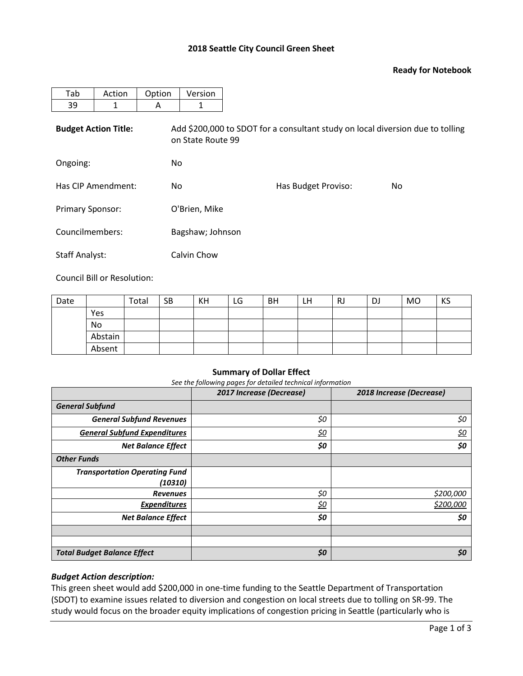## **2018 Seattle City Council Green Sheet**

### **Ready for Notebook**

| Tab                         | Action | Option | Version                                                                                             |                     |     |  |  |  |  |  |
|-----------------------------|--------|--------|-----------------------------------------------------------------------------------------------------|---------------------|-----|--|--|--|--|--|
| 39                          | 1      | A      | 1                                                                                                   |                     |     |  |  |  |  |  |
| <b>Budget Action Title:</b> |        |        | Add \$200,000 to SDOT for a consultant study on local diversion due to tolling<br>on State Route 99 |                     |     |  |  |  |  |  |
| Ongoing:                    |        | No     |                                                                                                     |                     |     |  |  |  |  |  |
| Has CIP Amendment:          |        | No     |                                                                                                     | Has Budget Proviso: | No. |  |  |  |  |  |
| Primary Sponsor:            |        |        | O'Brien, Mike                                                                                       |                     |     |  |  |  |  |  |
| Councilmembers:             |        |        | Bagshaw; Johnson                                                                                    |                     |     |  |  |  |  |  |
| <b>Staff Analyst:</b>       |        |        | Calvin Chow                                                                                         |                     |     |  |  |  |  |  |

Council Bill or Resolution:

| Date |         | Total | <b>SB</b> | KH | LG | <b>BH</b> | LH | RJ | DJ | MO | KS |
|------|---------|-------|-----------|----|----|-----------|----|----|----|----|----|
|      | Yes     |       |           |    |    |           |    |    |    |    |    |
|      | No      |       |           |    |    |           |    |    |    |    |    |
|      | Abstain |       |           |    |    |           |    |    |    |    |    |
|      | Absent  |       |           |    |    |           |    |    |    |    |    |

#### **Summary of Dollar Effect**

*See the following pages for detailed technical information*

|                                      | 2017 Increase (Decrease) | 2018 Increase (Decrease) |
|--------------------------------------|--------------------------|--------------------------|
| <b>General Subfund</b>               |                          |                          |
| <b>General Subfund Revenues</b>      | \$0                      | \$0                      |
| <b>General Subfund Expenditures</b>  | <u>\$0</u>               | <u>\$0</u>               |
| <b>Net Balance Effect</b>            | \$0                      | \$0                      |
| <b>Other Funds</b>                   |                          |                          |
| <b>Transportation Operating Fund</b> |                          |                          |
| (10310)                              |                          |                          |
| <b>Revenues</b>                      | \$0                      | \$200,000                |
| <b>Expenditures</b>                  | <u>\$0</u>               | \$200,000                |
| <b>Net Balance Effect</b>            | \$0                      | \$0                      |
|                                      |                          |                          |
|                                      |                          |                          |
| <b>Total Budget Balance Effect</b>   | \$0                      | \$0                      |

## *Budget Action description:*

This green sheet would add \$200,000 in one-time funding to the Seattle Department of Transportation (SDOT) to examine issues related to diversion and congestion on local streets due to tolling on SR-99. The study would focus on the broader equity implications of congestion pricing in Seattle (particularly who is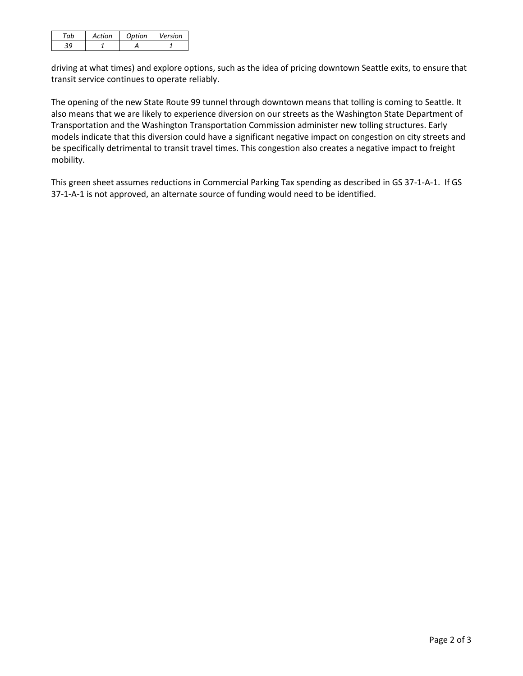| Action | Option | Version |
|--------|--------|---------|
|        |        |         |

driving at what times) and explore options, such as the idea of pricing downtown Seattle exits, to ensure that transit service continues to operate reliably.

The opening of the new State Route 99 tunnel through downtown means that tolling is coming to Seattle. It also means that we are likely to experience diversion on our streets as the Washington State Department of Transportation and the Washington Transportation Commission administer new tolling structures. Early models indicate that this diversion could have a significant negative impact on congestion on city streets and be specifically detrimental to transit travel times. This congestion also creates a negative impact to freight mobility.

This green sheet assumes reductions in Commercial Parking Tax spending as described in GS 37-1-A-1. If GS 37-1-A-1 is not approved, an alternate source of funding would need to be identified.